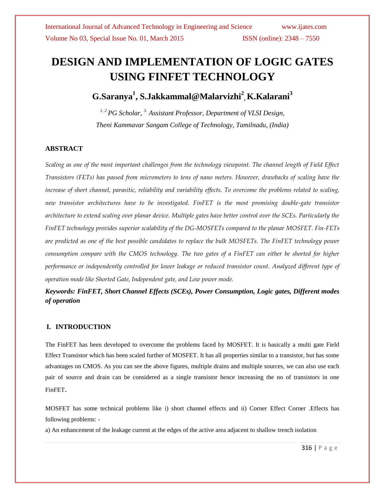# **DESIGN AND IMPLEMENTATION OF LOGIC GATES USING FINFET TECHNOLOGY**

# **G.Saranya<sup>1</sup> , [S.Jakkammal@Malarvizhi](mailto:S.Jakkammal@Malarvizhi2)<sup>2</sup> , K.Kalarani<sup>3</sup>**

*1, 2 PG Scholar, 3. Assistant Professor, Department of VLSI Design, Theni Kammavar Sangam College of Technology, Tamilnadu, (India)*

### **ABSTRACT**

*Scaling as one of the most important challenges from the technology viewpoint. The channel length of Field Effect Transistors (FETs) has passed from micrometers to tens of nano meters. However, drawbacks of scaling have the increase of short channel, parasitic, reliability and variability effects. To overcome the problems related to scaling, new transistor architectures have to be investigated. FinFET is the most promising double-gate transistor architecture to extend scaling over planar device. Multiple gates have better control over the SCEs. Particularly the FinFET technology provides superior scalability of the DG-MOSFETs compared to the planar MOSFET. Fin-FETs are predicted as one of the best possible candidates to replace the bulk MOSFETs. The FinFET technology power consumption compare with the CMOS technology. The two gates of a FinFET can either be shorted for higher performance or independently controlled for lower leakage or reduced transistor count. Analyzed different type of operation mode like Shorted Gate, Independent gate, and Low power mode.* 

*Keywords: FinFET, Short Channel Effects (SCEs), Power Consumption, Logic gates, Different modes of operation* 

### **I. INTRODUCTION**

The FinFET has been developed to overcome the problems faced by MOSFET. It is basically a multi gate Field Effect Transistor which has been scaled further of MOSFET. It has all properties similar to a transistor, but has some advantages on CMOS. As you can see the above figures, multiple drains and multiple sources, we can also use each pair of source and drain can be considered as a single transistor hence increasing the no of transistors in one FinFET.

MOSFET has some technical problems like i) short channel effects and ii) Corner Effect Corner .Effects has following problems: -

a) An enhancement of the leakage current at the edges of the active area adjacent to shallow trench isolation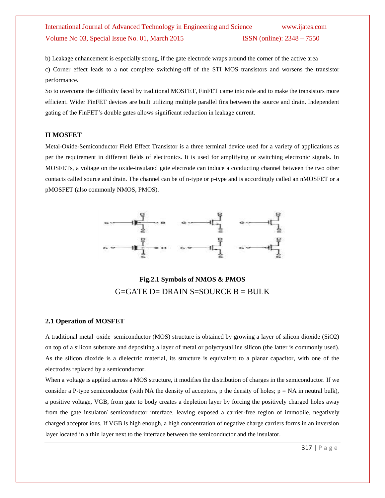b) Leakage enhancement is especially strong, if the gate electrode wraps around the corner of the active area c) Corner effect leads to a not complete switching-off of the STI MOS transistors and worsens the transistor performance.

So to overcome the difficulty faced by traditional MOSFET, FinFET came into role and to make the transistors more efficient. Wider FinFET devices are built utilizing multiple parallel fins between the source and drain. Independent gating of the FinFET's double gates allows significant reduction in leakage current.

### **II MOSFET**

Metal-Oxide-Semiconductor Field Effect Transistor is a three terminal device used for a variety of applications as per the requirement in different fields of electronics. It is used for amplifying or switching electronic signals. In MOSFETs, a voltage on the oxide-insulated gate electrode can induce a conducting channel between the two other contacts called source and drain. The channel can be of n-type or p-type and is accordingly called an nMOSFET or a pMOSFET (also commonly NMOS, PMOS).



**Fig.2.1 Symbols of NMOS & PMOS**  $G = GATE$  D= DRAIN S=SOURCE B = BULK

#### **2.1 Operation of MOSFET**

A traditional metal–oxide–semiconductor (MOS) structure is obtained by growing a layer of silicon dioxide (SiO2) on top of a silicon substrate and depositing a layer of metal or polycrystalline silicon (the latter is commonly used). As the silicon dioxide is a dielectric material, its structure is equivalent to a planar capacitor, with one of the electrodes replaced by a semiconductor.

When a voltage is applied across a MOS structure, it modifies the distribution of charges in the semiconductor. If we consider a P-type semiconductor (with NA the density of acceptors, p the density of holes;  $p = NA$  in neutral bulk), a positive voltage, VGB, from gate to body creates a depletion layer by forcing the positively charged holes away from the gate insulator/ semiconductor interface, leaving exposed a carrier-free region of immobile, negatively charged acceptor ions. If VGB is high enough, a high concentration of negative charge carriers forms in an inversion layer located in a thin layer next to the interface between the semiconductor and the insulator.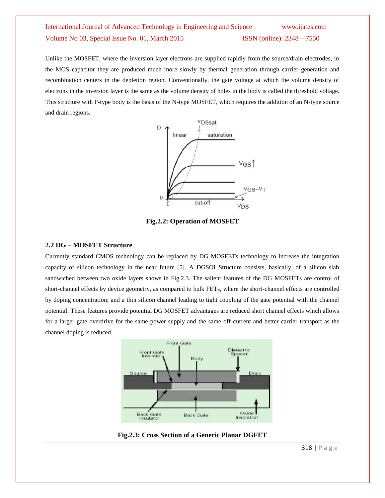Unlike the MOSFET, where the inversion layer electrons are supplied rapidly from the source/drain electrodes, in the MOS capacitor they are produced much more slowly by thermal generation through carrier generation and recombination centers in the depletion region. Conventionally, the gate voltage at which the volume density of electrons in the inversion layer is the same as the volume density of holes in the body is called the threshold voltage. This structure with P-type body is the basis of the N-type MOSFET, which requires the addition of an N-type source and drain regions.



**Fig.2.2: Operation of MOSFET**

#### **2.2 DG – MOSFET Structure**

Currently standard CMOS technology can be replaced by DG MOSFETs technology to increase the integration capacity of silicon technology in the near future [5]. A DGSOI Structure consists, basically, of a silicon slab sandwiched between two oxide layers shows in Fig.2.3. The salient features of the DG MOSFETs are control of short-channel effects by device geometry, as compared to bulk FETs, where the short-channel effects are controlled by doping concentration; and a thin silicon channel leading to tight coupling of the gate potential with the channel potential. These features provide potential DG MOSFET advantages are reduced short channel effects which allows for a larger gate overdrive for the same power supply and the same off-current and better carrier transport as the channel doping is reduced.



**Fig.2.3: Cross Section of a Generic Planar DGFET**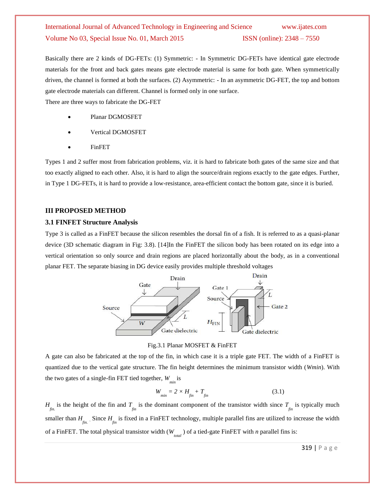Basically there are 2 kinds of DG-FETs: (1) Symmetric: - In Symmetric DG-FETs have identical gate electrode materials for the front and back gates means gate electrode material is same for both gate. When symmetrically driven, the channel is formed at both the surfaces. (2) Asymmetric: - In an asymmetric DG-FET, the top and bottom gate electrode materials can different. Channel is formed only in one surface.

There are three ways to fabricate the DG-FET

- Planar DGMOSFET
- Vertical DGMOSFET
- FinFET

Types 1 and 2 suffer most from fabrication problems, viz. it is hard to fabricate both gates of the same size and that too exactly aligned to each other. Also, it is hard to align the source/drain regions exactly to the gate edges. Further, in Type 1 DG-FETs, it is hard to provide a low-resistance, area-efficient contact the bottom gate, since it is buried.

#### **III PROPOSED METHOD**

#### **3.1 FINFET Structure Analysis**

Type 3 is called as a FinFET because the silicon resembles the dorsal fin of a fish. It is referred to as a quasi-planar device (3D schematic diagram in Fig: 3.8). [14]In the FinFET the silicon body has been rotated on its edge into a vertical orientation so only source and drain regions are placed horizontally about the body, as in a conventional planar FET. The separate biasing in DG device easily provides multiple threshold voltages



Fig.3.1 Planar MOSFET & FinFET

A gate can also be fabricated at the top of the fin, in which case it is a triple gate FET. The width of a FinFET is quantized due to the vertical gate structure. The fin height determines the minimum transistor width (*Wmin*). With the two gates of a single-fin FET tied together, *Wmin*  is

$$
W_{\min} = 2 \times H_{\text{fin}} + T_{\text{fin}} \tag{3.1}
$$

 $H_{\text{fin}}$  is the height of the fin and  $T_{\text{fin}}$  is the dominant component of the transistor width since  $T_{\text{fin}}$  is typically much smaller than  $H_{f_{in}}$ . Since  $H_{f_{in}}$  is fixed in a FinFET technology, multiple parallel fins are utilized to increase the width of a FinFET. The total physical transistor width (*Wtotal* ) of a tied-gate FinFET with *n* parallel fins is: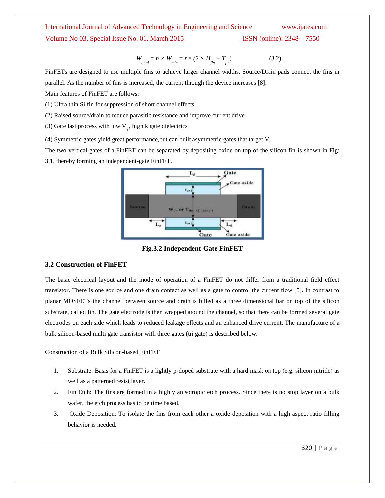$W_{total} = n \times W_{min} = n \times (2 \times H_{fin} + T_{fin})$ ) (3.2)

FinFETs are designed to use multiple fins to achieve larger channel widths. Source/Drain pads connect the fins in parallel. As the number of fins is increased, the current through the device increases [8].

Main features of FinFET are follows:

(1) Ultra thin Si fin for suppression of short channel effects

(2) Raised source/drain to reduce parasitic resistance and improve current drive

(3) Gate last process with low  $V_T$ , high k gate dielectrics

(4) Symmetric gates yield great performance,but can built asymmetric gates that target V.

The two vertical gates of a FinFET can be separated by depositing oxide on top of the silicon fin is shown in Fig:

3.1, thereby forming an independent-gate FinFET.



**Fig.3.2 Independent-Gate FinFET**

#### **3.2 Construction of FinFET**

The basic electrical layout and the mode of operation of a FinFET do not differ from a traditional field effect transistor. There is one source and one drain contact as well as a gate to control the current flow [5]. In contrast to planar MOSFETs the channel between source and drain is billed as a three dimensional bar on top of the silicon substrate, called fin. The gate electrode is then wrapped around the channel, so that there can be formed several gate electrodes on each side which leads to reduced leakage effects and an enhanced drive current. The manufacture of a bulk silicon-based multi gate transistor with three gates (tri gate) is described below.

Construction of a Bulk Silicon-based FinFET

- 1. Substrate: Basis for a FinFET is a lightly p-doped substrate with a hard mask on top (e.g. silicon nitride) as well as a patterned resist layer.
- 2. Fin Etch: The fins are formed in a highly anisotropic etch process. Since there is no stop layer on a bulk wafer, the etch process has to be time based.
- 3. Oxide Deposition: To isolate the fins from each other a oxide deposition with a high aspect ratio filling behavior is needed.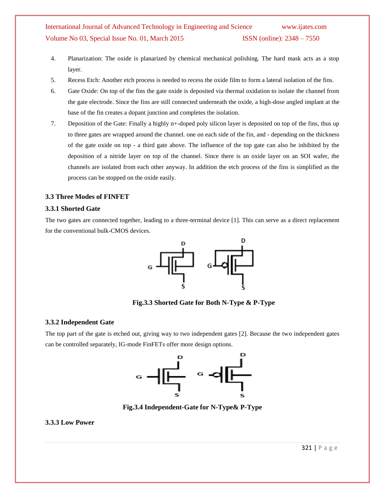- 4. Planarization: The oxide is planarized by chemical mechanical polishing. The hard mask acts as a stop layer.
- 5. Recess Etch: Another etch process is needed to recess the oxide film to form a lateral isolation of the fins.
- 6. Gate Oxide: On top of the fins the gate oxide is deposited via thermal oxidation to isolate the channel from the gate electrode. Since the fins are still connected underneath the oxide, a high-dose angled implant at the base of the fin creates a dopant junction and completes the isolation.
- 7. Deposition of the Gate: Finally a highly n+-doped poly silicon layer is deposited on top of the fins, thus up to three gates are wrapped around the channel. one on each side of the fin, and - depending on the thickness of the gate oxide on top - a third gate above. The influence of the top gate can also be inhibited by the deposition of a nitride layer on top of the channel. Since there is an oxide layer on an SOI wafer, the channels are isolated from each other anyway. In addition the etch process of the fins is simplified as the process can be stopped on the oxide easily.

### **3.3 Three Modes of FINFET**

#### **3.3.1 Shorted Gate**

The two gates are connected together, leading to a three-terminal device [1]. This can serve as a direct replacement for the conventional bulk-CMOS devices.



**Fig.3.3 Shorted Gate for Both N-Type & P-Type**

#### **3.3.2 Independent Gate**

The top part of the gate is etched out, giving way to two independent gates [2]. Because the two independent gates can be controlled separately, IG-mode FinFETs offer more design options.



**Fig.3.4 Independent-Gate for N-Type& P-Type**

### **3.3.3 Low Power**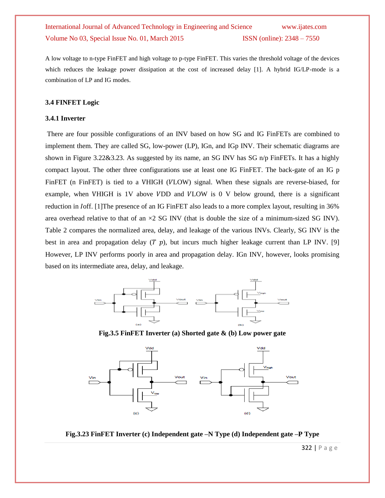A low voltage to n-type FinFET and high voltage to p-type FinFET. This varies the threshold voltage of the devices which reduces the leakage power dissipation at the cost of increased delay [1]. A hybrid IG/LP-mode is a combination of LP and IG modes.

#### **3.4 FINFET Logic**

#### **3.4.1 Inverter**

There are four possible configurations of an INV based on how SG and IG FinFETs are combined to implement them. They are called SG, low-power (LP), IGn, and IGp INV. Their schematic diagrams are shown in Figure 3.22&3.23. As suggested by its name, an SG INV has SG n/p FinFETs. It has a highly compact layout. The other three configurations use at least one IG FinFET. The back-gate of an IG p FinFET (n FinFET) is tied to a VHIGH (VLOW) signal. When these signals are reverse-biased, for example, when VHIGH is  $1V$  above VDD and VLOW is  $0 \, V$  below ground, there is a significant reduction in *I* off. [1]The presence of an IG FinFET also leads to a more complex layout, resulting in 36% area overhead relative to that of an  $\times 2$  SG INV (that is double the size of a minimum-sized SG INV). Table 2 compares the normalized area, delay, and leakage of the various INVs. Clearly, SG INV is the best in area and propagation delay  $(T, p)$ , but incurs much higher leakage current than LP INV. [9] However, LP INV performs poorly in area and propagation delay. IGn INV, however, looks promising based on its intermediate area, delay, and leakage.



**Fig.3.5 FinFET Inverter (a) Shorted gate & (b) Low power gate** 



**Fig.3.23 FinFET Inverter (c) Independent gate –N Type (d) Independent gate –P Type**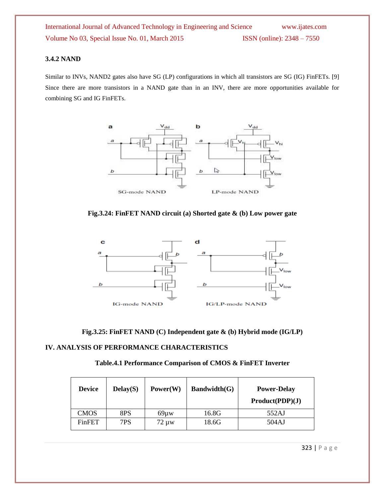### **3.4.2 NAND**

Similar to INVs, NAND2 gates also have SG (LP) configurations in which all transistors are SG (IG) FinFETs. [9] Since there are more transistors in a NAND gate than in an INV, there are more opportunities available for combining SG and IG FinFETs.







**Fig.3.25: FinFET NAND (C) Independent gate & (b) Hybrid mode (IG/LP)**

### **IV. ANALYSIS OF PERFORMANCE CHARACTERISTICS**

| Table.4.1 Performance Comparison of CMOS & FinFET Inverter |  |  |  |  |  |
|------------------------------------------------------------|--|--|--|--|--|
|------------------------------------------------------------|--|--|--|--|--|

| <b>Device</b> | Delay(S) | Power(W)   | Bandwidth(G) | <b>Power-Delay</b><br>Product(PDP)(J) |
|---------------|----------|------------|--------------|---------------------------------------|
| CMOS          | 8PS      | $69\mu w$  | 16.8G        | 552AJ                                 |
| <b>FinFET</b> | 7PS      | $72 \mu w$ | 18.6G        | 504AJ                                 |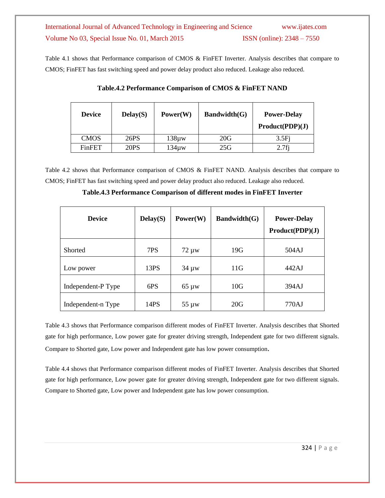Table 4.1 shows that Performance comparison of CMOS & FinFET Inverter. Analysis describes that compare to CMOS; FinFET has fast switching speed and power delay product also reduced. Leakage also reduced.

| <b>Device</b> | Delay(S) | Power(W)   | Bandwidth(G) | <b>Power-Delay</b><br>Product(PDP)(J) |
|---------------|----------|------------|--------------|---------------------------------------|
| <b>CMOS</b>   | 26PS     | $138\mu w$ | 20G          | 3.5Fi                                 |
| FinFET        | 20PS     | 134µw      | 25G          | $2.7f$ j                              |

**Table.4.2 Performance Comparison of CMOS & FinFET NAND**

Table 4.2 shows that Performance comparison of CMOS & FinFET NAND. Analysis describes that compare to CMOS; FinFET has fast switching speed and power delay product also reduced. Leakage also reduced.

**Table.4.3 Performance Comparison of different modes in FinFET Inverter**

| <b>Device</b>      | Delay(S) | Power(W)   | Bandwidth(G) | <b>Power-Delay</b><br>Product(PDP)(J) |
|--------------------|----------|------------|--------------|---------------------------------------|
| Shorted            | 7PS      | $72 \mu w$ | 19G          | 504AJ                                 |
| Low power          | 13PS     | $34 \mu w$ | 11G          | 442AJ                                 |
| Independent-P Type | 6PS      | $65 \mu w$ | 10G          | 394AJ                                 |
| Independent-n Type | 14PS     | $55 \mu w$ | 20G          | 770AJ                                 |

Table 4.3 shows that Performance comparison different modes of FinFET Inverter. Analysis describes that Shorted gate for high performance, Low power gate for greater driving strength, Independent gate for two different signals. Compare to Shorted gate, Low power and Independent gate has low power consumption.

Table 4.4 shows that Performance comparison different modes of FinFET Inverter. Analysis describes that Shorted gate for high performance, Low power gate for greater driving strength, Independent gate for two different signals. Compare to Shorted gate, Low power and Independent gate has low power consumption.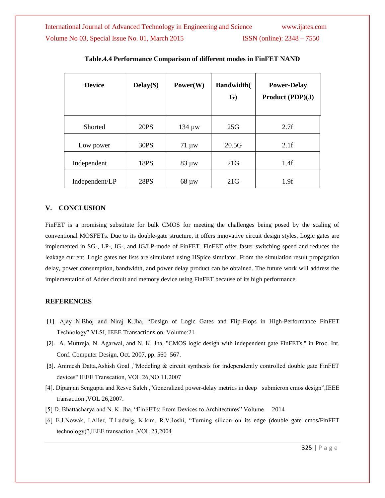| <b>Device</b>  | Delay(S)    | Power(W)    | <b>Bandwidth(</b><br>$\mathbf{G}$ | <b>Power-Delay</b><br>Product (PDP)(J) |
|----------------|-------------|-------------|-----------------------------------|----------------------------------------|
| <b>Shorted</b> | <b>20PS</b> | $134 \mu w$ | 25G                               | 2.7f                                   |
| Low power      | 30PS        | $71 \mu w$  | 20.5G                             | 2.1f                                   |
| Independent    | 18PS        | $83 \mu w$  | 21G                               | 1.4f                                   |
| Independent/LP | <b>28PS</b> | $68 \mu w$  | 21G                               | 1.9f                                   |

**Table.4.4 Performance Comparison of different modes in FinFET NAND**

### **V. CONCLUSION**

FinFET is a promising substitute for bulk CMOS for meeting the challenges being posed by the scaling of conventional MOSFETs. Due to its double-gate structure, it offers innovative circuit design styles. Logic gates are implemented in SG-, LP-, IG-, and IG/LP-mode of FinFET. FinFET offer faster switching speed and reduces the leakage current. Logic gates net lists are simulated using HSpice simulator. From the simulation result propagation delay, power consumption, bandwidth, and power delay product can be obtained. The future work will address the implementation of Adder circuit and memory device using FinFET because of its high performance.

### **REFERENCES**

- [1]. Ajay N.Bhoj and Niraj K.Jha, "Design of Logic Gates and Flip-Flops in High-Performance FinFET Technology" VLSI, IEEE Transactions on Volume:21
- [2]. A. Muttreja, N. Agarwal, and N. K. Jha, "CMOS logic design with independent gate FinFETs," in Proc. Int. Conf. Computer Design, Oct. 2007, pp. 560–567.
- [3]. Animesh Datta,Ashish Goal ,"Modeling & circuit synthesis for independently controlled double gate FinFET devices" IEEE Transcation, VOL 26,NO 11,2007
- [4]. Dipanjan Sengupta and Resve Saleh ,"Generalized power-delay metrics in deep submicron cmos design",IEEE transaction ,VOL 26,2007.
- [5] D. Bhattacharya and N. K. Jha, "FinFETs: From Devices to Architectures" Volume 2014
- [6] E.J.Nowak, I.Aller, T.Ludwig, K.kim, R.V.Joshi, "Turning silicon on its edge (double gate cmos/FinFET technology)",IEEE transaction ,VOL 23,2004